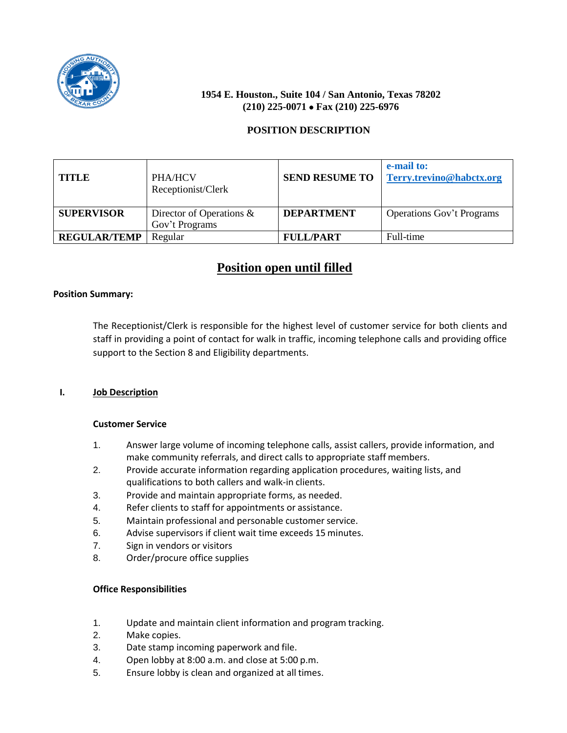

# **1954 E. Houston., Suite 104 / San Antonio, Texas 78202 (210) 225-0071 Fax (210) 225-6976**

# **POSITION DESCRIPTION**

| <b>TITLE</b>        | <b>PHA/HCV</b><br>Receptionist/Clerk          | <b>SEND RESUME TO</b> | e-mail to:<br>Terry.trevino@habctx.org |
|---------------------|-----------------------------------------------|-----------------------|----------------------------------------|
| <b>SUPERVISOR</b>   | Director of Operations $\&$<br>Gov't Programs | <b>DEPARTMENT</b>     | <b>Operations Gov't Programs</b>       |
| <b>REGULAR/TEMP</b> | Regular                                       | <b>FULL/PART</b>      | Full-time                              |

# **Position open until filled**

## **Position Summary:**

The Receptionist/Clerk is responsible for the highest level of customer service for both clients and staff in providing a point of contact for walk in traffic, incoming telephone calls and providing office support to the Section 8 and Eligibility departments.

## **I. Job Description**

## **Customer Service**

- 1. Answer large volume of incoming telephone calls, assist callers, provide information, and make community referrals, and direct calls to appropriate staff members.
- 2. Provide accurate information regarding application procedures, waiting lists, and qualifications to both callers and walk-in clients.
- 3. Provide and maintain appropriate forms, as needed.
- 4. Refer clients to staff for appointments or assistance.
- 5. Maintain professional and personable customer service.
- 6. Advise supervisors if client wait time exceeds 15 minutes.
- 7. Sign in vendors or visitors
- 8. Order/procure office supplies

## **Office Responsibilities**

- 1. Update and maintain client information and program tracking.
- 2. Make copies.
- 3. Date stamp incoming paperwork and file.
- 4. Open lobby at 8:00 a.m. and close at 5:00 p.m.
- 5. Ensure lobby is clean and organized at all times.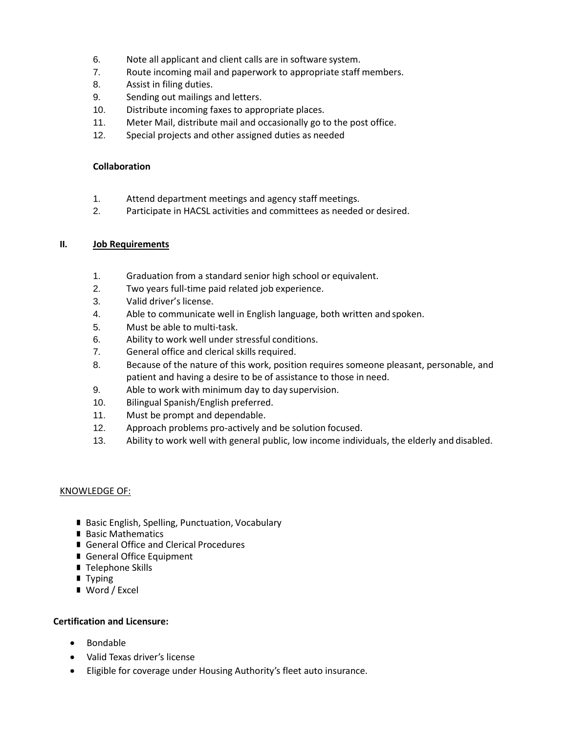- 6. Note all applicant and client calls are in software system.
- 7. Route incoming mail and paperwork to appropriate staff members.
- 8. Assist in filing duties.
- 9. Sending out mailings and letters.
- 10. Distribute incoming faxes to appropriate places.
- 11. Meter Mail, distribute mail and occasionally go to the post office.
- 12. Special projects and other assigned duties as needed

## **Collaboration**

- 1. Attend department meetings and agency staff meetings.
- 2. Participate in HACSL activities and committees as needed or desired.

## **II. Job Requirements**

- 1. Graduation from a standard senior high school or equivalent.
- 2. Two years full-time paid related job experience.
- 3. Valid driver's license.
- 4. Able to communicate well in English language, both written and spoken.
- 5. Must be able to multi-task.
- 6. Ability to work well under stressful conditions.
- 7. General office and clerical skills required.
- 8. Because of the nature of this work, position requires someone pleasant, personable, and patient and having a desire to be of assistance to those in need.
- 9. Able to work with minimum day to day supervision.
- 10. Bilingual Spanish/English preferred.
- 11. Must be prompt and dependable.
- 12. Approach problems pro-actively and be solution focused.
- 13. Ability to work well with general public, low income individuals, the elderly and disabled.

#### KNOWLEDGE OF:

- Basic English, Spelling, Punctuation, Vocabulary
- Basic Mathematics
- General Office and Clerical Procedures
- General Office Equipment
- Telephone Skills
- **Typing**
- Word / Excel

## **Certification and Licensure:**

- Bondable
- Valid Texas driver's license
- Eligible for coverage under Housing Authority's fleet auto insurance.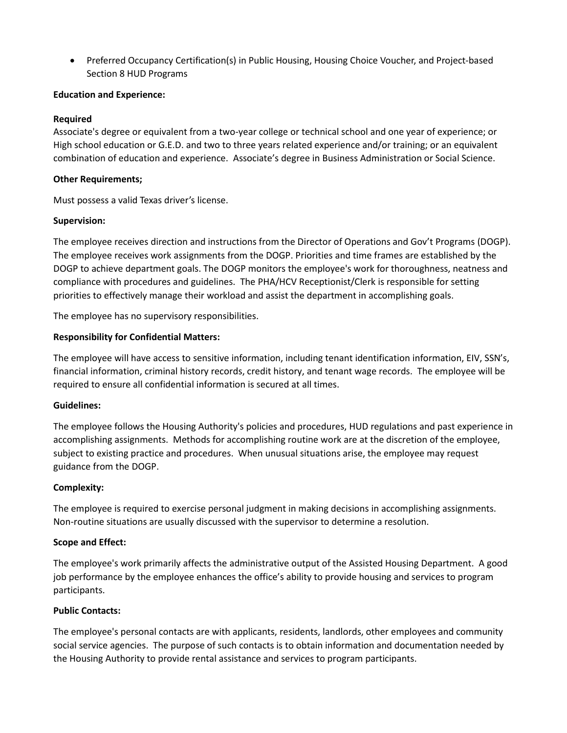Preferred Occupancy Certification(s) in Public Housing, Housing Choice Voucher, and Project-based Section 8 HUD Programs

## **Education and Experience:**

## **Required**

Associate's degree or equivalent from a two-year college or technical school and one year of experience; or High school education or G.E.D. and two to three years related experience and/or training; or an equivalent combination of education and experience. Associate's degree in Business Administration or Social Science.

## **Other Requirements;**

Must possess a valid Texas driver's license.

## **Supervision:**

The employee receives direction and instructions from the Director of Operations and Gov't Programs (DOGP). The employee receives work assignments from the DOGP. Priorities and time frames are established by the DOGP to achieve department goals. The DOGP monitors the employee's work for thoroughness, neatness and compliance with procedures and guidelines. The PHA/HCV Receptionist/Clerk is responsible for setting priorities to effectively manage their workload and assist the department in accomplishing goals.

The employee has no supervisory responsibilities.

## **Responsibility for Confidential Matters:**

The employee will have access to sensitive information, including tenant identification information, EIV, SSN's, financial information, criminal history records, credit history, and tenant wage records. The employee will be required to ensure all confidential information is secured at all times.

## **Guidelines:**

The employee follows the Housing Authority's policies and procedures, HUD regulations and past experience in accomplishing assignments. Methods for accomplishing routine work are at the discretion of the employee, subject to existing practice and procedures. When unusual situations arise, the employee may request guidance from the DOGP.

## **Complexity:**

The employee is required to exercise personal judgment in making decisions in accomplishing assignments. Non-routine situations are usually discussed with the supervisor to determine a resolution.

## **Scope and Effect:**

The employee's work primarily affects the administrative output of the Assisted Housing Department. A good job performance by the employee enhances the office's ability to provide housing and services to program participants.

## **Public Contacts:**

The employee's personal contacts are with applicants, residents, landlords, other employees and community social service agencies. The purpose of such contacts is to obtain information and documentation needed by the Housing Authority to provide rental assistance and services to program participants.